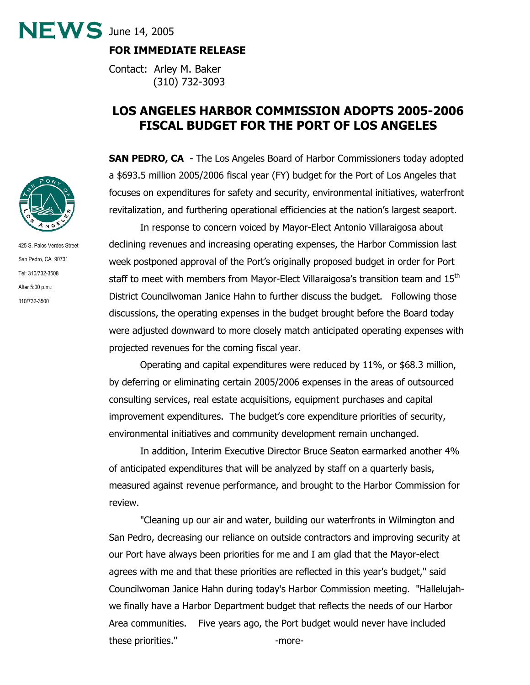**FOR IMMEDIATE RELEASE** 

 $NEWS$  June 14, 2005

Contact: Arley M. Baker (310) 732-3093

# **LOS ANGELES HARBOR COMMISSION ADOPTS 2005-2006 FISCAL BUDGET FOR THE PORT OF LOS ANGELES**

**SAN PEDRO, CA** - The Los Angeles Board of Harbor Commissioners today adopted a \$693.5 million 2005/2006 fiscal year (FY) budget for the Port of Los Angeles that focuses on expenditures for safety and security, environmental initiatives, waterfront revitalization, and furthering operational efficiencies at the nation's largest seaport.

In response to concern voiced by Mayor-Elect Antonio Villaraigosa about declining revenues and increasing operating expenses, the Harbor Commission last week postponed approval of the Port's originally proposed budget in order for Port staff to meet with members from Mayor-Elect Villaraigosa's transition team and 15<sup>th</sup> District Councilwoman Janice Hahn to further discuss the budget. Following those discussions, the operating expenses in the budget brought before the Board today were adjusted downward to more closely match anticipated operating expenses with projected revenues for the coming fiscal year.

Operating and capital expenditures were reduced by 11%, or \$68.3 million, by deferring or eliminating certain 2005/2006 expenses in the areas of outsourced consulting services, real estate acquisitions, equipment purchases and capital improvement expenditures. The budget's core expenditure priorities of security, environmental initiatives and community development remain unchanged.

In addition, Interim Executive Director Bruce Seaton earmarked another 4% of anticipated expenditures that will be analyzed by staff on a quarterly basis, measured against revenue performance, and brought to the Harbor Commission for review.

"Cleaning up our air and water, building our waterfronts in Wilmington and San Pedro, decreasing our reliance on outside contractors and improving security at our Port have always been priorities for me and I am glad that the Mayor-elect agrees with me and that these priorities are reflected in this year's budget," said Councilwoman Janice Hahn during today's Harbor Commission meeting. "Hallelujahwe finally have a Harbor Department budget that reflects the needs of our Harbor Area communities. Five years ago, the Port budget would never have included these priorities." The series of the series of the series of the series of the series of the series of the series of the series of the series of the series of the series of the series of the series of the series of the ser



425 S. Palos Verdes Street San Pedro, CA 90731 Tel: 310/732-3508 After 5:00 p.m.: 310/732-3500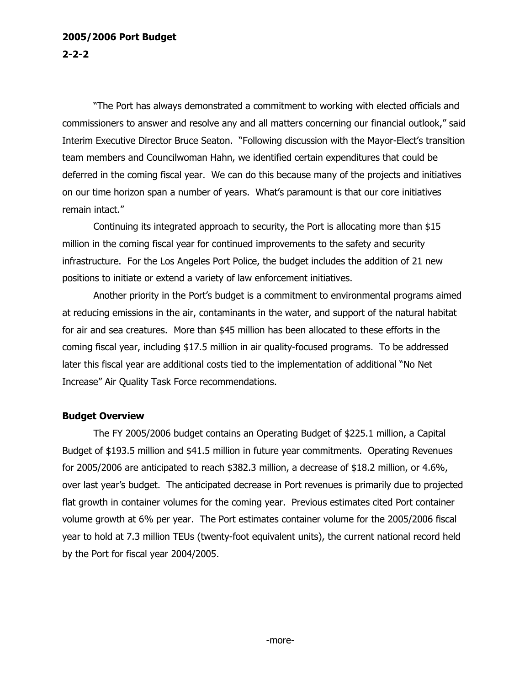### **2005/2006 Port Budget 2-2-2**

"The Port has always demonstrated a commitment to working with elected officials and commissioners to answer and resolve any and all matters concerning our financial outlook," said Interim Executive Director Bruce Seaton. "Following discussion with the Mayor-Elect's transition team members and Councilwoman Hahn, we identified certain expenditures that could be deferred in the coming fiscal year. We can do this because many of the projects and initiatives on our time horizon span a number of years. What's paramount is that our core initiatives remain intact."

Continuing its integrated approach to security, the Port is allocating more than \$15 million in the coming fiscal year for continued improvements to the safety and security infrastructure. For the Los Angeles Port Police, the budget includes the addition of 21 new positions to initiate or extend a variety of law enforcement initiatives.

Another priority in the Port's budget is a commitment to environmental programs aimed at reducing emissions in the air, contaminants in the water, and support of the natural habitat for air and sea creatures. More than \$45 million has been allocated to these efforts in the coming fiscal year, including \$17.5 million in air quality-focused programs. To be addressed later this fiscal year are additional costs tied to the implementation of additional "No Net Increase" Air Quality Task Force recommendations.

#### **Budget Overview**

The FY 2005/2006 budget contains an Operating Budget of \$225.1 million, a Capital Budget of \$193.5 million and \$41.5 million in future year commitments. Operating Revenues for 2005/2006 are anticipated to reach \$382.3 million, a decrease of \$18.2 million, or 4.6%, over last year's budget. The anticipated decrease in Port revenues is primarily due to projected flat growth in container volumes for the coming year. Previous estimates cited Port container volume growth at 6% per year. The Port estimates container volume for the 2005/2006 fiscal year to hold at 7.3 million TEUs (twenty-foot equivalent units), the current national record held by the Port for fiscal year 2004/2005.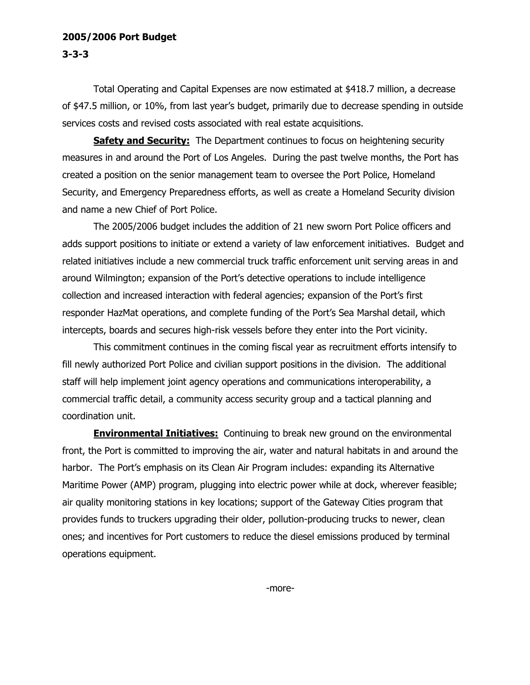#### **2005/2006 Port Budget 3-3-3**

Total Operating and Capital Expenses are now estimated at \$418.7 million, a decrease of \$47.5 million, or 10%, from last year's budget, primarily due to decrease spending in outside services costs and revised costs associated with real estate acquisitions.

**Safety and Security:** The Department continues to focus on heightening security measures in and around the Port of Los Angeles. During the past twelve months, the Port has created a position on the senior management team to oversee the Port Police, Homeland Security, and Emergency Preparedness efforts, as well as create a Homeland Security division and name a new Chief of Port Police.

The 2005/2006 budget includes the addition of 21 new sworn Port Police officers and adds support positions to initiate or extend a variety of law enforcement initiatives. Budget and related initiatives include a new commercial truck traffic enforcement unit serving areas in and around Wilmington; expansion of the Port's detective operations to include intelligence collection and increased interaction with federal agencies; expansion of the Port's first responder HazMat operations, and complete funding of the Port's Sea Marshal detail, which intercepts, boards and secures high-risk vessels before they enter into the Port vicinity.

This commitment continues in the coming fiscal year as recruitment efforts intensify to fill newly authorized Port Police and civilian support positions in the division. The additional staff will help implement joint agency operations and communications interoperability, a commercial traffic detail, a community access security group and a tactical planning and coordination unit.

**Environmental Initiatives:** Continuing to break new ground on the environmental front, the Port is committed to improving the air, water and natural habitats in and around the harbor. The Port's emphasis on its Clean Air Program includes: expanding its Alternative Maritime Power (AMP) program, plugging into electric power while at dock, wherever feasible; air quality monitoring stations in key locations; support of the Gateway Cities program that provides funds to truckers upgrading their older, pollution-producing trucks to newer, clean ones; and incentives for Port customers to reduce the diesel emissions produced by terminal operations equipment.

-more-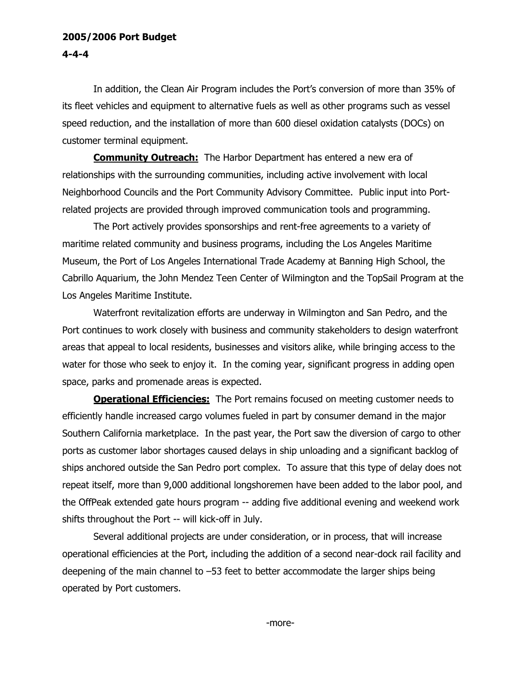### **2005/2006 Port Budget 4-4-4**

In addition, the Clean Air Program includes the Port's conversion of more than 35% of its fleet vehicles and equipment to alternative fuels as well as other programs such as vessel speed reduction, and the installation of more than 600 diesel oxidation catalysts (DOCs) on customer terminal equipment.

**Community Outreach:** The Harbor Department has entered a new era of relationships with the surrounding communities, including active involvement with local Neighborhood Councils and the Port Community Advisory Committee. Public input into Portrelated projects are provided through improved communication tools and programming.

The Port actively provides sponsorships and rent-free agreements to a variety of maritime related community and business programs, including the Los Angeles Maritime Museum, the Port of Los Angeles International Trade Academy at Banning High School, the Cabrillo Aquarium, the John Mendez Teen Center of Wilmington and the TopSail Program at the Los Angeles Maritime Institute.

Waterfront revitalization efforts are underway in Wilmington and San Pedro, and the Port continues to work closely with business and community stakeholders to design waterfront areas that appeal to local residents, businesses and visitors alike, while bringing access to the water for those who seek to enjoy it. In the coming year, significant progress in adding open space, parks and promenade areas is expected.

**Operational Efficiencies:** The Port remains focused on meeting customer needs to efficiently handle increased cargo volumes fueled in part by consumer demand in the major Southern California marketplace. In the past year, the Port saw the diversion of cargo to other ports as customer labor shortages caused delays in ship unloading and a significant backlog of ships anchored outside the San Pedro port complex. To assure that this type of delay does not repeat itself, more than 9,000 additional longshoremen have been added to the labor pool, and the OffPeak extended gate hours program -- adding five additional evening and weekend work shifts throughout the Port -- will kick-off in July.

Several additional projects are under consideration, or in process, that will increase operational efficiencies at the Port, including the addition of a second near-dock rail facility and deepening of the main channel to –53 feet to better accommodate the larger ships being operated by Port customers.